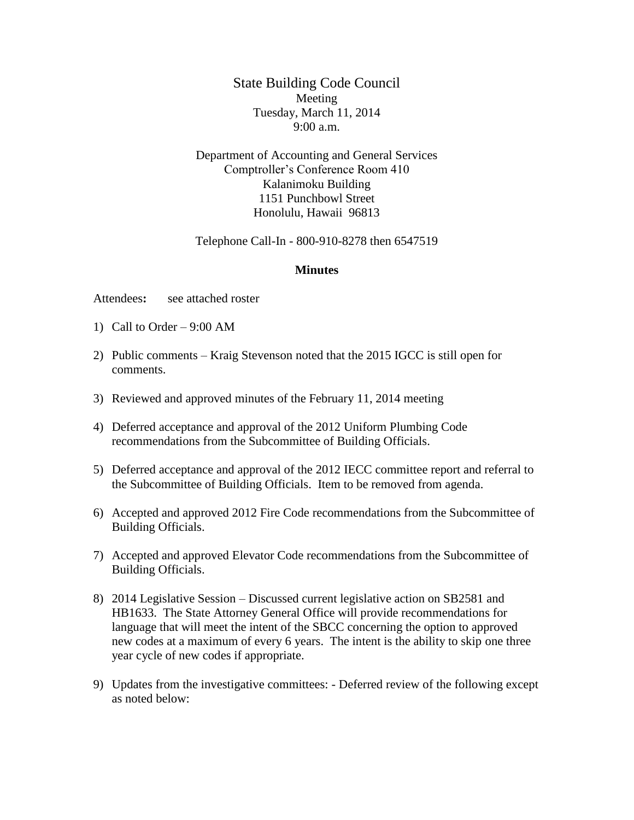State Building Code Council Meeting Tuesday, March 11, 2014 9:00 a.m.

Department of Accounting and General Services Comptroller's Conference Room 410 Kalanimoku Building 1151 Punchbowl Street Honolulu, Hawaii 96813

Telephone Call-In - 800-910-8278 then 6547519

## **Minutes**

Attendees**:** see attached roster

- 1) Call to Order 9:00 AM
- 2) Public comments Kraig Stevenson noted that the 2015 IGCC is still open for comments.
- 3) Reviewed and approved minutes of the February 11, 2014 meeting
- 4) Deferred acceptance and approval of the 2012 Uniform Plumbing Code recommendations from the Subcommittee of Building Officials.
- 5) Deferred acceptance and approval of the 2012 IECC committee report and referral to the Subcommittee of Building Officials. Item to be removed from agenda.
- 6) Accepted and approved 2012 Fire Code recommendations from the Subcommittee of Building Officials.
- 7) Accepted and approved Elevator Code recommendations from the Subcommittee of Building Officials.
- 8) 2014 Legislative Session Discussed current legislative action on SB2581 and HB1633. The State Attorney General Office will provide recommendations for language that will meet the intent of the SBCC concerning the option to approved new codes at a maximum of every 6 years. The intent is the ability to skip one three year cycle of new codes if appropriate.
- 9) Updates from the investigative committees: Deferred review of the following except as noted below: